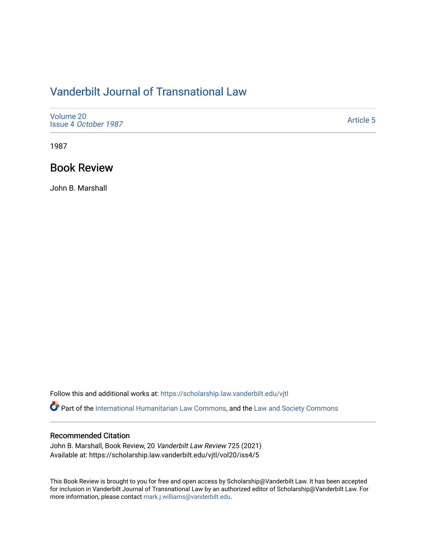## [Vanderbilt Journal of Transnational Law](https://scholarship.law.vanderbilt.edu/vjtl)

| Volume 20<br>Issue 4 October 1987 | <b>Article 5</b> |
|-----------------------------------|------------------|
|-----------------------------------|------------------|

1987

## Book Review

John B. Marshall

Follow this and additional works at: [https://scholarship.law.vanderbilt.edu/vjtl](https://scholarship.law.vanderbilt.edu/vjtl?utm_source=scholarship.law.vanderbilt.edu%2Fvjtl%2Fvol20%2Fiss4%2F5&utm_medium=PDF&utm_campaign=PDFCoverPages) 

Part of the [International Humanitarian Law Commons](http://network.bepress.com/hgg/discipline/1330?utm_source=scholarship.law.vanderbilt.edu%2Fvjtl%2Fvol20%2Fiss4%2F5&utm_medium=PDF&utm_campaign=PDFCoverPages), and the [Law and Society Commons](http://network.bepress.com/hgg/discipline/853?utm_source=scholarship.law.vanderbilt.edu%2Fvjtl%2Fvol20%2Fiss4%2F5&utm_medium=PDF&utm_campaign=PDFCoverPages)

### Recommended Citation

John B. Marshall, Book Review, 20 Vanderbilt Law Review 725 (2021) Available at: https://scholarship.law.vanderbilt.edu/vjtl/vol20/iss4/5

This Book Review is brought to you for free and open access by Scholarship@Vanderbilt Law. It has been accepted for inclusion in Vanderbilt Journal of Transnational Law by an authorized editor of Scholarship@Vanderbilt Law. For more information, please contact [mark.j.williams@vanderbilt.edu](mailto:mark.j.williams@vanderbilt.edu).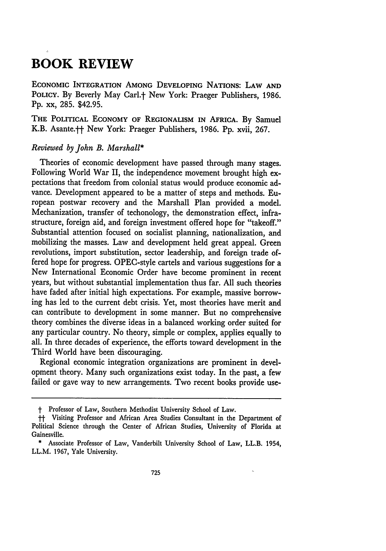# **BOOK REVIEW**

**ECONOMIC** INTEGRATION **AMONG DEVELOPING** NATIONS: LAW **AND** POLICY. By Beverly May Carl.<sup>†</sup> New York: Praeger Publishers, 1986. **Pp.** xx, **285.** \$42.95.

**THE POLITICAL ECONOMY OF REGIONALISM IN AFRICA. By** Samuel K.B. Asante.<sup>++</sup> New York: Praeger Publishers, 1986. Pp. xvii, 267.

### *Reviewed by John B. Marshall\**

Theories of economic development have passed through many stages. Following World War II, the independence movement brought high expectations that freedom from colonial status would produce economic advance. Development appeared to be a matter of steps and methods. European postwar recovery and the Marshall Plan provided a model. Mechanization, transfer of techonology, the demonstration effect, infrastructure, foreign aid, and foreign investment offered hope for "takeoff." Substantial attention focused on socialist planning, nationalization, and mobilizing the masses. Law and development held great appeal. Green revolutions, import substitution, sector leadership, and foreign trade offered hope for progress. OPEC-style cartels and various suggestions for a New International Economic Order have become prominent in recent years, but without substantial implementation thus far. All such theories have faded after initial high expectations. For example, massive borrowing has led to the current debt crisis. Yet, most theories have merit and can contribute to development in some manner. But no comprehensive theory combines the diverse ideas in a balanced working order suited for any particular country. No theory, simple or complex, applies equally to all. In three decades of experience, the efforts toward development in the Third World have been discouraging.

Regional economic integration organizations are prominent in development theory. Many such organizations exist today. In the past, a few failed or gave way to new arrangements. Two recent books provide use-

**<sup>&</sup>quot;** Professor of Law, Southern Methodist University School of Law.

**ff** Visiting Professor and African Area Studies Consultant in the Department of Political Science through the Center of African Studies, University of Florida at Gainesville.

<sup>\*</sup> Associate Professor of Law, Vanderbilt University School of Law, LL.B. 1954, LL.M. **1967,** Yale University.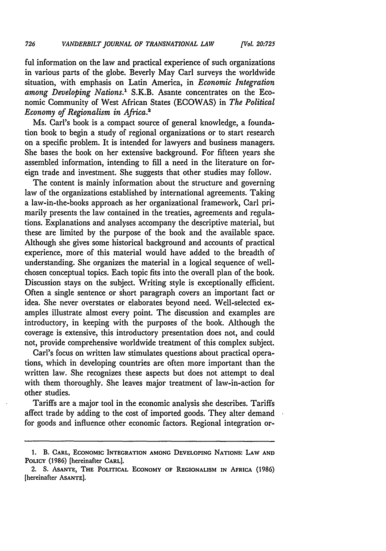ful information on the law and practical experience of such organizations in various parts of the globe. Beverly May Carl surveys the worldwide situation, with emphasis on Latin America, in *Economic Integration among Developing Nations.'* S.K.B. Asante concentrates on the Economic Community of West African States (ECOWAS) in *The Political Economy of Regionalism in Africa.2*

Ms. Carl's book is a compact source of general knowledge, a foundation book to begin a study of regional organizations or to start research on a specific problem. It is intended for lawyers and business managers. She bases the book on her extensive background. For fifteen years she assembled information, intending to fill a need in the literature on foreign trade and investment. She suggests that other studies may follow.

The content is mainly information about the structure and governing law of the organizations established by international agreements. Taking a law-in-the-books approach as her organizational framework, Carl primarily presents the law contained in the treaties, agreements and regulations. Explanations and analyses accompany the descriptive material, but these are limited by the purpose of the book and the available space. Although she gives some historical background and accounts of practical experience, more of this material would have added to the breadth of understanding. She organizes the material in a logical sequence of wellchosen conceptual topics. Each topic fits into the overall plan of the book. Discussion stays on the subject. Writing style is exceptionally efficient. Often a single sentence or short paragraph covers an important fact or idea. She never overstates or elaborates beyond need. Well-selected examples illustrate almost every point. The discussion and examples are introductory, in keeping with the purposes of the book. Although the coverage is extensive, this introductory presentation does not, and could not, provide comprehensive worldwide treatment of this complex subject.

Carl's focus on written law stimulates questions about practical operations, which in developing countries are often more important than the written law. She recognizes these aspects but does not attempt to deal with them thoroughly. She leaves major treatment of law-in-action for other studies.

Tariffs are a major tool in the economic analysis she describes. Tariffs affect trade by adding to the cost of imported goods. They alter demand for goods and influence other economic factors. Regional integration or-

**<sup>1.</sup>** B. **CARL, ECONOMIC INTEGRATION AMONG DEVELOPING NATIONS: LAW AND POLICY** (1986) [hereinafter CARL].

<sup>2.</sup> **S. ASANTE, THE POLITICAL ECONOMY OF REGIONALISM IN AFRICA** (1986) [hereinafter **ASANTE].**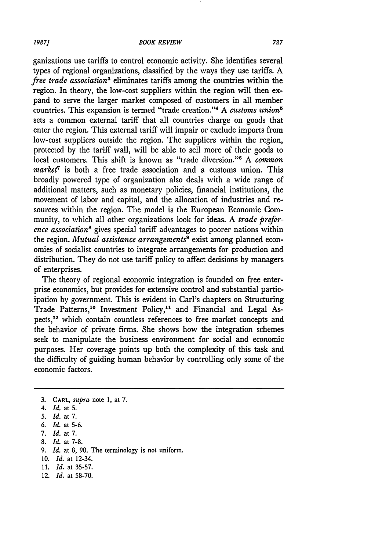#### *BOOK REVIEW*

ganizations use tariffs to control economic activity. She identifies several types of regional organizations, classified by the ways they use tariffs. A *free trade associations* eliminates tariffs among the countries within the region. In theory, the low-cost suppliers within the region will then expand to serve the larger market composed of customers in all member countries. This expansion is termed "trade creation."'4 A *customs union* sets a common external tariff that all countries charge on goods that enter the region. This external tariff will impair or exclude imports from low-cost suppliers outside the region. The suppliers within the region, protected by the tariff wall, will be able to sell more of their goods to local customers. This shift is known as "trade diversion."' A *common market7* is both a free trade association and a customs union. This broadly powered type of organization also deals with a wide range of additional matters, such as monetary policies, financial institutions, the movement of labor and capital, and the allocation of industries and resources within the region. The model is the European Economic Community, to which all other organizations look for ideas. A *trade preference association8* gives special tariff advantages to poorer nations within the region. *Mutual assistance arrangements*<sup>9</sup> exist among planned economies of socialist countries to integrate arrangements for production and distribution. They do not use tariff policy to affect decisions by managers of enterprises.

The theory of regional economic integration is founded on free enterprise economics, but provides for extensive control and substantial participation by government. This is evident in Carl's chapters on Structuring Trade Patterns,<sup>10</sup> Investment Policy,<sup>11</sup> and Financial and Legal Aspects,<sup>12</sup> which contain countless references to free market concepts and the behavior of private firms. She shows how the integration schemes seek to manipulate the business environment for social and economic purposes. Her coverage points up both the complexity of this task and the difficulty of guiding human behavior by controlling only some of the economic factors.

**8.** *Id.* at 7-8.

- *10. Id.* at 12-34.
- *11. Id.* at 35-57.
- 12. *Id.* at 58-70.

727

**<sup>3.</sup>** CARL, *supra* note 1, at **7.**

<sup>4.</sup> *Id.* at **5.**

**<sup>5.</sup>** *Id.* at **7.**

*<sup>6.</sup> Id.* at 5-6.

**<sup>7.</sup>** *Id.* at **7.**

*<sup>9.</sup> Id.* at **8, 90.** The terminology is not uniform.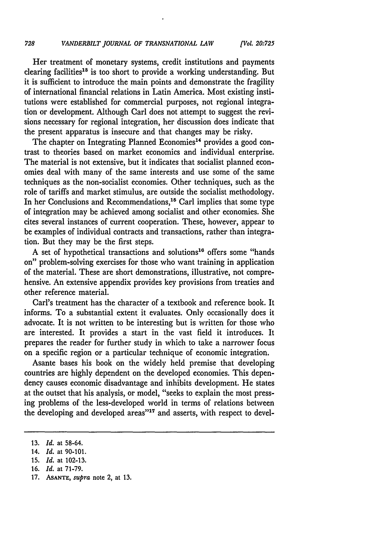Her treatment of monetary systems, credit institutions and payments clearing facilities<sup>13</sup> is too short to provide a working understanding. But it is sufficient to introduce the main points and demonstrate the fragility of international financial relations in Latin America. Most existing institutions were established for commercial purposes, not regional integration or development. Although Carl does not attempt to suggest the revisions necessary for regional integration, her discussion does indicate that the present apparatus is insecure and that changes may be risky.

The chapter on Integrating Planned Economies<sup>14</sup> provides a good contrast to theories based on market economics and individual enterprise. The material is not extensive, but it indicates that socialist planned economies deal with many of the same interests and use some of the same techniques as the non-socialist economies. Other techniques, such as the role of tariffs and market stimulus, are outside the socialist methodology. In her Conclusions and Recommendations,<sup>15</sup> Carl implies that some type of integration may be achieved among socialist and other economies. She cites several instances of current cooperation. These, however, appear to be examples of individual contracts and transactions, rather than integration. But they may be the first steps.

A set of hypothetical transactions and solutions<sup>16</sup> offers some "hands on" problem-solving exercises for those who want training in application of the material. These are short demonstrations, illustrative, not comprehensive. An extensive appendix provides key provisions from treaties and other reference material.

Carl's treatment has the character of a textbook and reference book. It informs. To a substantial extent it evaluates. Only occasionally does it advocate. It is not written to be interesting but is written for those who are interested. It provides a start in the vast field it introduces. It prepares the reader for further study in which to take a narrower focus on a specific region or a particular technique of economic integration.

Asante bases his book on the widely held premise that developing countries are highly dependent on the developed economies. This dependency causes economic disadvantage and inhibits development. He states at the outset that his analysis, or model, "seeks to explain the most pressing problems of the less-developed world in terms of relations between the developing and developed areas"<sup>17</sup> and asserts, with respect to devel-

<sup>13.</sup> *Id.* at 58-64.

<sup>14.</sup> *Id.* at 90-101.

<sup>15.</sup> *Id.* at 102-13.

**<sup>16.</sup>** *Id.* at 71-79.

<sup>17.</sup> **ASANTE,** *supra* note 2, at 13.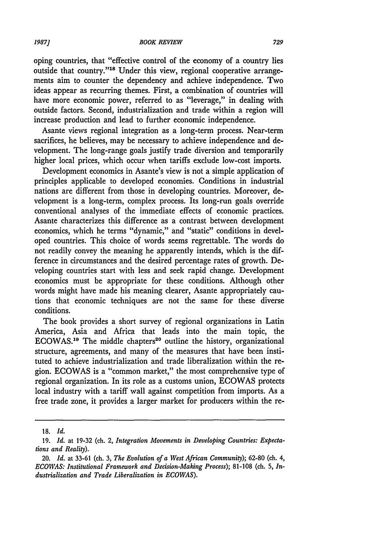oping countries, that "effective control of the economy of a country lies outside that country."<sup>18</sup> Under this view, regional cooperative arrangements aim to counter the dependency and achieve independence. Two ideas appear as recurring themes. First, a combination of countries will have more economic power, referred to as "leverage," in dealing with outside factors. Second, industrialization and trade within a region will increase production and lead to further economic independence.

Asante views regional integration as a long-term process. Near-term sacrifices, he believes, may be necessary to achieve independence and development. The long-range goals justify trade diversion and temporarily higher local prices, which occur when tariffs exclude low-cost imports.

Development economics in Asante's view is not a simple application of principles applicable to developed economies. Conditions in industrial nations are different from those in developing countries. Moreover, development is a long-term, complex process. Its long-run goals override conventional analyses of the immediate effects of economic practices. Asante characterizes this difference as a contrast between development economics, which he terms "dynamic," and "static" conditions in developed countries. This choice of words seems regrettable. The words do not readily convey the meaning he apparently intends, which is the difference in circumstances and the desired percentage rates of growth. Developing countries start with less and seek rapid change. Development economics must be appropriate for these conditions. Although other words might have made his meaning clearer, Asante appropriately cautions that economic techniques are not the same for these diverse conditions.

The book provides a short survey of regional organizations in Latin America, Asia and Africa that leads into the main topic, the ECOWAS.<sup>19</sup> The middle chapters<sup>20</sup> outline the history, organizational structure, agreements, and many of the measures that have been instituted to achieve industrialization and trade liberalization within the region. **ECOWAS** is a "common market," the most comprehensive type of regional organization. In its role as a customs union, **ECOWAS** protects local industry with a tariff wall against competition from imports. As a free trade zone, it provides a larger market for producers within the re-

**<sup>18.</sup>** *Id.*

**<sup>19.</sup>** *Id.* at **19-32** (ch. 2, *Integration Movements in Developing Countries: Expectations and Reality).*

<sup>20.</sup> *Id.* at **33-61** (ch. **3,** *The Evolution of a West African Community);* **62-80** (ch. 4, *ECO WAS: Institutional Framework and Decision-Making Process);* **81-108** (ch. **5,** *Industrialization and Trade Liberalization in ECOWAS).*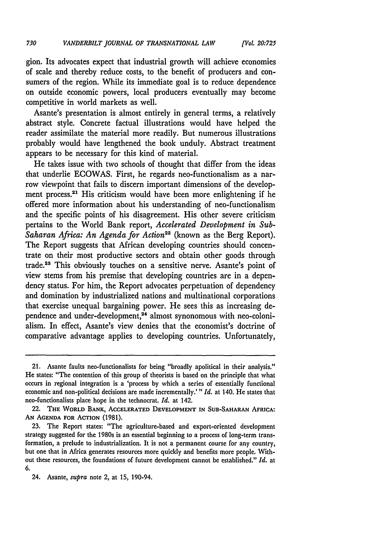gion. Its advocates expect that industrial growth will achieve economies of scale and thereby reduce costs, to the benefit of producers and consumers of the region. While its immediate goal is to reduce dependence on outside economic powers, local producers eventually may become competitive in world markets as well.

Asante's presentation is almost entirely in general terms, a relatively abstract style. Concrete factual illustrations would have helped the reader assimilate the material more readily. But numerous illustrations probably would have lengthened the book unduly. Abstract treatment appears to be necessary for this kind of material.

He takes issue with two schools of thought that differ from the ideas that underlie ECOWAS. First, he regards neo-functionalism as a narrow viewpoint that fails to discern important dimensions of the development process.<sup>21</sup> His criticism would have been more enlightening if he offered more information about his understanding of neo-functionalism and the specific points of his disagreement. His other severe criticism pertains to the World Bank report, *Accelerated Development in Sub-*Saharan Africa: An Agenda for Action<sup>22</sup> (known as the Berg Report). The Report suggests that African developing countries should concentrate on their most productive sectors and obtain other goods through trade.23 This obviously touches on a sensitive nerve. Asante's point of view stems from his premise that developing countries are in a dependency status. For him, the Report advocates perpetuation of dependency and domination by industrialized nations and multinational corporations that exercise unequal bargaining power. He sees this as increasing dependence and under-development,<sup>24</sup> almost synonomous with neo-colonialism. In effect, Asante's view denies that the economist's doctrine of comparative advantage applies to developing countries. Unfortunately,

<sup>21.</sup> Asante faults neo-functionalists for being "broadly apolitical in their analysis." He states: "The contention of this group of theorists is based on the principle that what occurs in regional integration is a 'process by which a series of essentially functional economic and non-political decisions are made incrementally.' *"Id.* at 140. He states that neo-functionalists place hope in the technocrat. *Id.* at 142.

<sup>22.</sup> THE WORLD BANK, **ACCELERATED DEVELOPMENT IN SUB-SAHARAN** AFRICA: **AN AGENDA** FOR ACTION **(1981).**

<sup>23.</sup> The Report states: "The agriculture-based and export-oriented development strategy suggested for the 1980s is an essential beginning to a process of long-term transformation, a prelude to industrialization. It is not a permanent course for any country, but one that in Africa generates resources more quickly and benefits more people. Without these resources, the foundations of future development cannot be established." *Id.* at 6.

<sup>24.</sup> Asante, *supra* note 2, at 15, 190-94.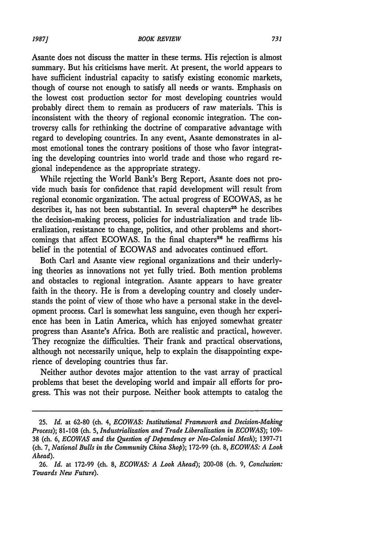Asante does not discuss the matter in these terms. His rejection is almost summary. But his criticisms have merit. At present, the world appears to have sufficient industrial capacity to satisfy existing economic markets, though of course not enough to satisfy all needs or wants. Emphasis on the lowest cost production sector for most developing countries would probably direct them to remain as producers of raw materials. This is inconsistent with the theory of regional economic integration. The controversy calls for rethinking the doctrine of comparative advantage with regard to developing countries. In any event, Asante demonstrates in almost emotional tones the contrary positions of those who favor integrating the developing countries into world trade and those who regard regional independence as the appropriate strategy.

While rejecting the World Bank's Berg Report, Asante does not provide much basis for confidence that rapid development will result from regional economic organization. The actual progress of ECOWAS, as he describes it, has not been substantial. In several chapters<sup>25</sup> he describes the decision-making process, policies for industrialization and trade liberalization, resistance to change, politics, and other problems and shortcomings that affect ECOWAS. In the final chapters<sup>26</sup> he reaffirms his belief in the potential of ECOWAS and advocates continued effort.

Both Carl and Asante view regional organizations and their underlying theories as innovations not yet fully tried. Both mention problems and obstacles to regional integration. Asante appears to have greater faith in the theory. He is from a developing country and closely understands the point of view of those who have a personal stake in the development process. Carl is somewhat less sanguine, even though her experience has been in Latin America, which has enjoyed somewhat greater progress than Asante's Africa. Both are realistic and practical, however. They recognize the difficulties. Their frank and practical observations, although not necessarily unique, help to explain the disappointing experience of developing countries thus far.

Neither author devotes major attention to the vast array of practical problems that beset the developing world and impair all efforts for progress. This was not their purpose. Neither book attempts to catalog the

**<sup>25.</sup>** *Id.* at **62-80** (ch. 4, *ECOWAS: Institutional Framework and Decision-Making Process);* 81-108 (ch. 5, *Industrialization and Trade Liberalization in ECOWAS);* 109- 38 (ch. 6, *ECOWAS and the Question of Dependency or Neo-Colonial Mesh);* 1397-71 (ch. 7, *National Bulls in the Community China Shop);* 172-99 (ch. 8, *ECOWAS: A Look Ahead).*

<sup>26.</sup> *Id.* at 172-99 (ch. 8, *ECOWAS: A Look Ahead);* 200-08 (ch. 9, *Conclusion: Towards New Future).*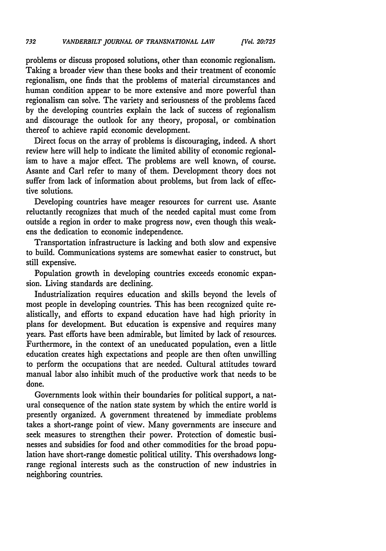problems or discuss proposed solutions, other than economic regionalism. Taking a broader view than these books and their treatment of economic regionalism, one finds that the problems of material circumstances and human condition appear to be more extensive and more powerful than regionalism can solve. The variety and seriousness of the problems faced by the developing countries explain the lack of success of regionalism and discourage the outlook for any theory, proposal, or combination thereof to achieve rapid economic development.

Direct focus on the array of problems is discouraging, indeed. A short review here will help to indicate the limited ability of economic regionalism to have a major effect. The problems are well known, of course. Asante and Carl refer to many of them. Development theory does not suffer from lack of information about problems, but from lack of effective solutions.

Developing countries have meager resources for current use. Asante reluctantly recognizes that much of the needed capital must come from outside a region in order to make progress now, even though this weakens the dedication to economic independence.

Transportation infrastructure is lacking and both slow and expensive to build. Communications systems are somewhat easier to construct, but still expensive.

Population growth in developing countries exceeds economic expansion. Living standards are declining.

Industrialization requires education and skills beyond the levels of most people in developing countries. This has been recognized quite realistically, and efforts to expand education have had high priority in plans for development. But education is expensive and requires many years. Past efforts have been admirable, but limited by lack of resources. Furthermore, in the context of an uneducated population, even a little education creates high expectations and people are then often unwilling to perform the occupations that are needed. Cultural attitudes toward manual labor also inhibit much of the productive work that needs to be done.

Governments look within their boundaries for political support, a natural consequence of the nation state system by which the entire world is presently organized. A government threatened by immediate problems takes a short-range point of view. Many governments are insecure and seek measures to strengthen their power. Protection of domestic businesses and subsidies for food and other commodities for the broad population have short-range domestic political utility. This overshadows longrange regional interests such as the construction of new industries in neighboring countries.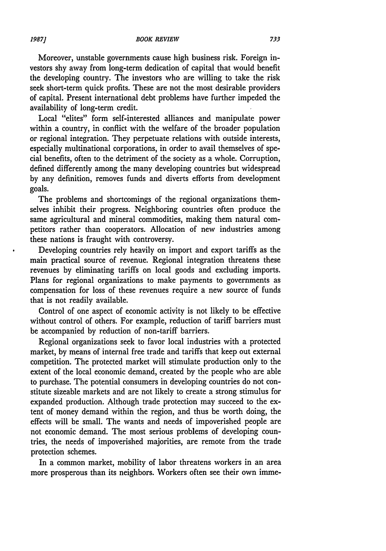Moreover, unstable governments cause high business risk. Foreign investors shy away from long-term dedication of capital that would benefit the developing country. The investors who are willing to take the risk seek short-term quick profits. These are not the most desirable providers of capital. Present international debt problems have further impeded the availability of long-term credit.

Local "elites" form self-interested alliances and manipulate power within a country, in conflict with the welfare of the broader population or regional integration. They perpetuate relations with outside interests, especially multinational corporations, in order to avail themselves of special benefits, often to the detriment of the society as a whole. Corruption, defined differently among the many developing countries but widespread by any definition, removes funds and diverts efforts from development goals.

The problems and shortcomings of the regional organizations themselves inhibit their progress. Neighboring countries often produce the same agricultural and mineral commodities, making them natural competitors rather than cooperators. Allocation of new industries among these nations is fraught with controversy.

Developing countries rely heavily on import and export tariffs as the main practical source of revenue. Regional integration threatens these revenues by eliminating tariffs on local goods and excluding imports. Plans for regional organizations to make payments to governments as compensation for loss of these revenues require a new source of funds that is not readily available.

Control of one aspect of economic activity is not likely to be effective without control of others. For example, reduction of tariff barriers must be accompanied by reduction of non-tariff barriers.

Regional organizations seek to favor local industries with a protected market, by means of internal free trade and tariffs that keep out external competition. The protected market will stimulate production only to the extent of the local economic demand, created by the people who are able to purchase. The potential consumers in developing countries do not constitute sizeable markets and are not likely to create a strong stimulus for expanded production. Although trade protection may succeed to the extent of money demand within the region, and thus be worth doing, the effects will be small. The wants and needs of impoverished people are not economic demand. The most serious problems of developing countries, the needs of impoverished majorities, are remote from the trade protection schemes.

In a common market, mobility of labor threatens workers in an area more prosperous than its neighbors. Workers often see their own imme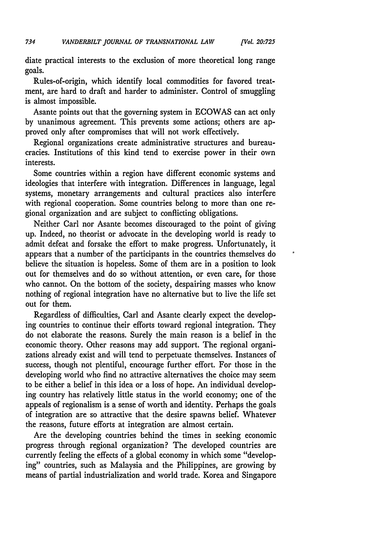diate practical interests to the exclusion of more theoretical long range goals.

Rules-of-origin, which identify local commodities for favored treatment, are hard to draft and harder to administer. Control of smuggling is almost impossible.

Asante points out that the governing system in ECOWAS can act only by unanimous agreement. This prevents some actions; others are approved only after compromises that will not work effectively.

Regional organizations create administrative structures and bureaucracies. Institutions of this kind tend to exercise power in their own interests.

Some countries within a region have different economic systems and ideologies that interfere with integration. Differences in language, legal systems, monetary arrangements and cultural practices also interfere with regional cooperation. Some countries belong to more than one regional organization and are subject to conflicting obligations.

Neither Carl nor Asante becomes discouraged to the point of giving up. Indeed, no theorist or advocate in the developing world is ready to admit defeat and forsake the effort to make progress. Unfortunately, it appears that a number of the participants in the countries themselves do believe the situation is hopeless. Some of them are in a position to look out for themselves and do so without attention, or even care, for those who cannot. On the bottom of the society, despairing masses who know nothing of regional integration have no alternative but to live the life set out for them.

Regardless of difficulties, Carl and Asante clearly expect the developing countries to continue their efforts toward regional integration. They do not elaborate the reasons. Surely the main reason is a belief in the economic theory. Other reasons may add support. The regional organizations already exist and will tend to perpetuate themselves. Instances of success, though not plentiful, encourage further effort. For those in the developing world who find no attractive alternatives the choice may seem to be either a belief in this idea or a loss of hope. An individual developing country has relatively little status in the world economy; one of the appeals of regionalism is a sense of worth and identity. Perhaps the goals of integration are so attractive that the desire spawns belief. Whatever the reasons, future efforts at integration are almost certain.

Are the developing countries behind the times in seeking economic progress through regional organization? The developed countries are currently feeling the effects of a global economy in which some "developing" countries, such as Malaysia and the Philippines, are growing by means of partial industrialization and world trade. Korea and Singapore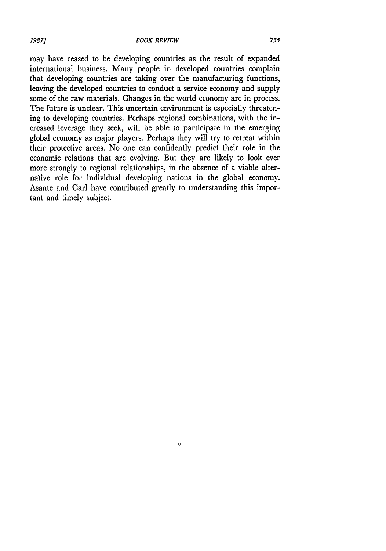#### *19871 BOOK REVIEW*

may have ceased to be developing countries as the result of expanded international business. Many people in developed countries complain that developing countries are taking over the manufacturing functions, leaving the developed countries to conduct a service economy and supply some of the raw materials. Changes in the world economy are in process. The future is unclear. This uncertain environment is especially threatening to developing countries. Perhaps regional combinations, with the increased leverage they seek, will be able to participate in the emerging global economy as major players. Perhaps they will try to retreat within their protective areas. No one can confidently predict their role in the economic relations that are evolving. But they are likely to look ever more strongly to regional relationships, in the absence of a viable alternative role for individual developing nations in the global economy. Asante and Carl have contributed greatly to understanding this important and timely subject.